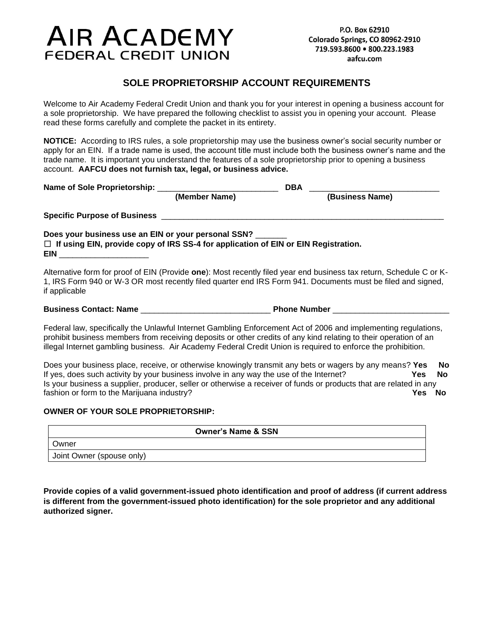# **AIR ACADEMY FEDERAL CREDIT UNION**

## **SOLE PROPRIETORSHIP ACCOUNT REQUIREMENTS**

Welcome to Air Academy Federal Credit Union and thank you for your interest in opening a business account for a sole proprietorship. We have prepared the following checklist to assist you in opening your account. Please read these forms carefully and complete the packet in its entirety.

**NOTICE:** According to IRS rules, a sole proprietorship may use the business owner's social security number or apply for an EIN. If a trade name is used, the account title must include both the business owner's name and the trade name. It is important you understand the features of a sole proprietorship prior to opening a business account. **AAFCU does not furnish tax, legal, or business advice.**

|                                                                                                                                                                    |               | DBA                                                                                                                                                                                                                                                                                                                                                |
|--------------------------------------------------------------------------------------------------------------------------------------------------------------------|---------------|----------------------------------------------------------------------------------------------------------------------------------------------------------------------------------------------------------------------------------------------------------------------------------------------------------------------------------------------------|
|                                                                                                                                                                    | (Member Name) | (Business Name)                                                                                                                                                                                                                                                                                                                                    |
|                                                                                                                                                                    |               |                                                                                                                                                                                                                                                                                                                                                    |
| Does your business use an EIN or your personal SSN?<br>$\Box$ If using EIN, provide copy of IRS SS-4 for application of EIN or EIN Registration.<br><b>EIN EIN</b> |               |                                                                                                                                                                                                                                                                                                                                                    |
| if applicable                                                                                                                                                      |               | Alternative form for proof of EIN (Provide one): Most recently filed year end business tax return, Schedule C or K-<br>1, IRS Form 940 or W-3 OR most recently filed quarter end IRS Form 941. Documents must be filed and signed,                                                                                                                 |
|                                                                                                                                                                    |               | Business Contact: Name Mumber All Phone Number Mumber Mumber All Phone Number All Phone Number All Phone Number                                                                                                                                                                                                                                    |
|                                                                                                                                                                    |               | Federal law, specifically the Unlawful Internet Gambling Enforcement Act of 2006 and implementing regulations,<br>prohibit business members from receiving deposits or other credits of any kind relating to their operation of an<br>illegal Internet gambling business. Air Academy Federal Credit Union is required to enforce the prohibition. |
|                                                                                                                                                                    |               | Deep vour buoinese place, resolve, or otherwise knowingly transmit any beta er wegers by any meane? Voc                                                                                                                                                                                                                                            |

Does your business place, receive, or otherwise knowingly transmit any bets or wagers by any means? **Yes No** If yes, does such activity by your business involve in any way the use of the Internet? **Yes No** Is your business a supplier, producer, seller or otherwise a receiver of funds or products that are related in any fashion or form to the Marijuana industry? **Yes No**

#### **OWNER OF YOUR SOLE PROPRIETORSHIP:**

| <b>Owner's Name &amp; SSN</b> |
|-------------------------------|
| Owner                         |
| Joint Owner (spouse only)     |

**Provide copies of a valid government-issued photo identification and proof of address (if current address is different from the government-issued photo identification) for the sole proprietor and any additional authorized signer.**